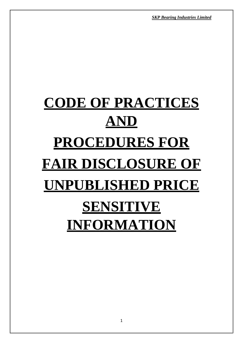*SKP Bearing Industries Limited*

# **CODE OF PRACTICES AND PROCEDURES FOR FAIR DISCLOSURE OF UNPUBLISHED PRICE SENSITIVE INFORMATION**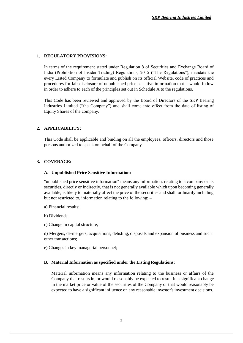#### **1. REGULATORY PROVISIONS:**

In terms of the requirement stated under Regulation 8 of Securities and Exchange Board of India (Prohibition of Insider Trading) Regulations, 2015 ("The Regulations"), mandate the every Listed Company to formulate and publish on its official Website, code of practices and procedures for fair disclosure of unpublished price sensitive information that it would follow in order to adhere to each of the principles set out in Schedule A to the regulations.

This Code has been reviewed and approved by the Board of Directors of the SKP Bearing Industries Limited ("the Company") and shall come into effect from the date of listing of Equity Shares of the company.

## **2. APPLICABILITY:**

This Code shall be applicable and binding on all the employees, officers, directors and those persons authorized to speak on behalf of the Company.

## **3. COVERAGE:**

#### **A. Unpublished Price Sensitive Information:**

"unpublished price sensitive information" means any information, relating to a company or its securities, directly or indirectly, that is not generally available which upon becoming generally available, is likely to materially affect the price of the securities and shall, ordinarily including but not restricted to, information relating to the following: –

a) Financial results;

b) Dividends;

c) Change in capital structure;

d) Mergers, de-mergers, acquisitions, delisting, disposals and expansion of business and such other transactions;

e) Changes in key managerial personnel;

#### **B. Material Information as specified under the Listing Regulations:**

Material information means any information relating to the business or affairs of the Company that results in, or would reasonably be expected to result in a significant change in the market price or value of the securities of the Company or that would reasonably be expected to have a significant influence on any reasonable investor's investment decisions.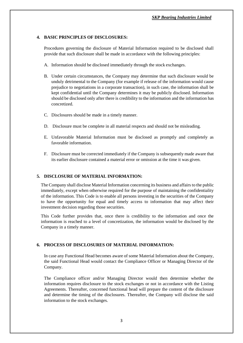# **4. BASIC PRINCIPLES OF DISCLOSURES:**

Procedures governing the disclosure of Material Information required to be disclosed shall provide that such disclosure shall be made in accordance with the following principles:

- A. Information should be disclosed immediately through the stock exchanges.
- B. Under certain circumstances, the Company may determine that such disclosure would be unduly detrimental to the Company (for example if release of the information would cause prejudice to negotiations in a corporate transaction), in such case, the information shall be kept confidential until the Company determines it may be publicly disclosed. Information should be disclosed only after there is credibility to the information and the information has concretized.
- C. Disclosures should be made in a timely manner.
- D. Disclosure must be complete in all material respects and should not be misleading.
- E. Unfavorable Material Information must be disclosed as promptly and completely as favorable information.
- F. Disclosure must be corrected immediately if the Company is subsequently made aware that its earlier disclosure contained a material error or omission at the time it was given.

## **5. DISCLOSURE OF MATERIAL INFORMATION:**

The Company shall disclose Material Information concerning its business and affairs to the public immediately, except when otherwise required for the purpose of maintaining the confidentiality of the information. This Code is to enable all persons investing in the securities of the Company to have the opportunity for equal and timely access to information that may affect their investment decision regarding those securities.

This Code further provides that, once there is credibility to the information and once the information is reached to a level of concretization, the information would be disclosed by the Company in a timely manner.

## **6. PROCESS OF DISCLOSURES OF MATERIAL INFORMATION:**

In case any Functional Head becomes aware of some Material Information about the Company, the said Functional Head would contact the Compliance Officer or Managing Director of the Company.

The Compliance officer and/or Managing Director would then determine whether the information requires disclosure to the stock exchanges or not in accordance with the Listing Agreements. Thereafter, concerned functional head will prepare the content of the disclosure and determine the timing of the disclosures. Thereafter, the Company will disclose the said information to the stock exchanges.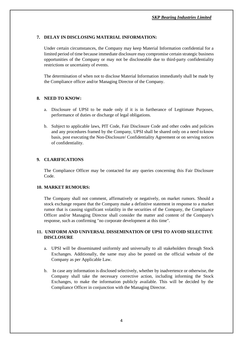# **7. DELAY IN DISCLOSING MATERIAL INFORMATION:**

Under certain circumstances, the Company may keep Material Information confidential for a limited period of time because immediate disclosure may compromise certain strategic business opportunities of the Company or may not be discloseable due to third-party confidentiality restrictions or uncertainty of events.

The determination of when not to disclose Material Information immediately shall be made by the Compliance officer and/or Managing Director of the Company.

## **8. NEED TO KNOW:**

- a. Disclosure of UPSI to be made only if it is in furtherance of Legitimate Purposes, performance of duties or discharge of legal obligations.
- b. Subject to applicable laws, PIT Code, Fair Disclosure Code and other codes and policies and any procedures framed by the Company, UPSI shall be shared only on a need to know basis, post executing the Non-Disclosure/ Confidentiality Agreement or on serving notices of confidentiality.

# **9. CLARIFICATIONS**

The Compliance Officer may be contacted for any queries concerning this Fair Disclosure Code.

## **10. MARKET RUMOURS:**

The Company shall not comment, affirmatively or negatively, on market rumors. Should a stock exchange request that the Company make a definitive statement in response to a market rumor that is causing significant volatility in the securities of the Company, the Compliance Officer and/or Managing Director shall consider the matter and content of the Company's response, such as confirming "no corporate development at this time".

## **11. UNIFORM AND UNIVERSAL DISSEMINATION OF UPSI TO AVOID SELECTIVE DISCLOSURE**

- a. UPSI will be disseminated uniformly and universally to all stakeholders through Stock Exchanges. Additionally, the same may also be posted on the official website of the Company as per Applicable Law.
- b. In case any information is disclosed selectively, whether by inadvertence or otherwise, the Company shall take the necessary corrective action, including informing the Stock Exchanges, to make the information publicly available. This will be decided by the Compliance Officer in conjunction with the Managing Director.